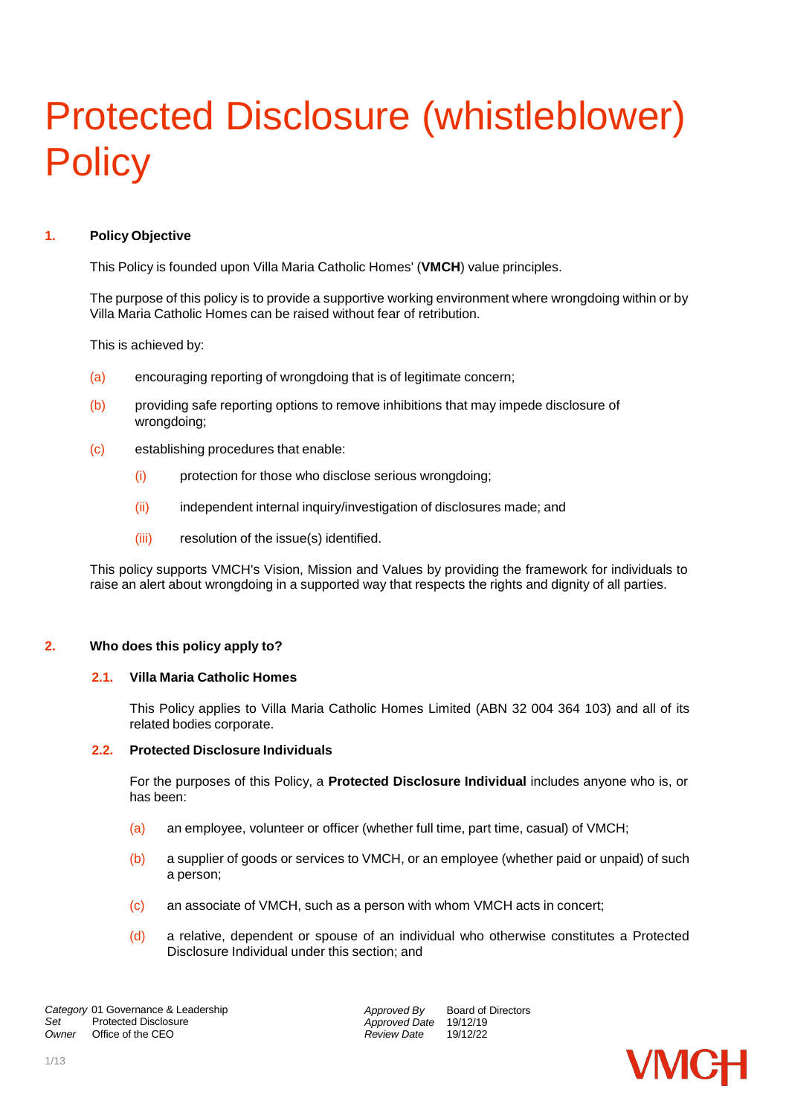# Protected Disclosure (whistleblower) **Policy**

# **1. Policy Objective**

This Policy is founded upon Villa Maria Catholic Homes' (**VMCH**) value principles.

The purpose of this policy is to provide a supportive working environment where wrongdoing within or by Villa Maria Catholic Homes can be raised without fear of retribution.

This is achieved by:

- (a) encouraging reporting of wrongdoing that is of legitimate concern;
- (b) providing safe reporting options to remove inhibitions that may impede disclosure of wrongdoing;
- (c) establishing procedures that enable:
	- (i) protection for those who disclose serious wrongdoing;
	- (ii) independent internal inquiry/investigation of disclosures made; and
	- (iii) resolution of the issue(s) identified.

This policy supports VMCH's Vision, Mission and Values by providing the framework for individuals to raise an alert about wrongdoing in a supported way that respects the rights and dignity of all parties.

# **2. Who does this policy apply to?**

# **2.1. Villa Maria Catholic Homes**

This Policy applies to Villa Maria Catholic Homes Limited (ABN 32 004 364 103) and all of its related bodies corporate.

# **2.2. Protected Disclosure Individuals**

For the purposes of this Policy, a **Protected Disclosure Individual** includes anyone who is, or has been:

- (a) an employee, volunteer or officer (whether full time, part time, casual) of VMCH;
- (b) a supplier of goods or services to VMCH, or an employee (whether paid or unpaid) of such a person;
- (c) an associate of VMCH, such as a person with whom VMCH acts in concert;
- (d) a relative, dependent or spouse of an individual who otherwise constitutes a Protected Disclosure Individual under this section; and

*Approved By Approved Date* 19/12/19 *Review Date* Board of Directors 19/12/22

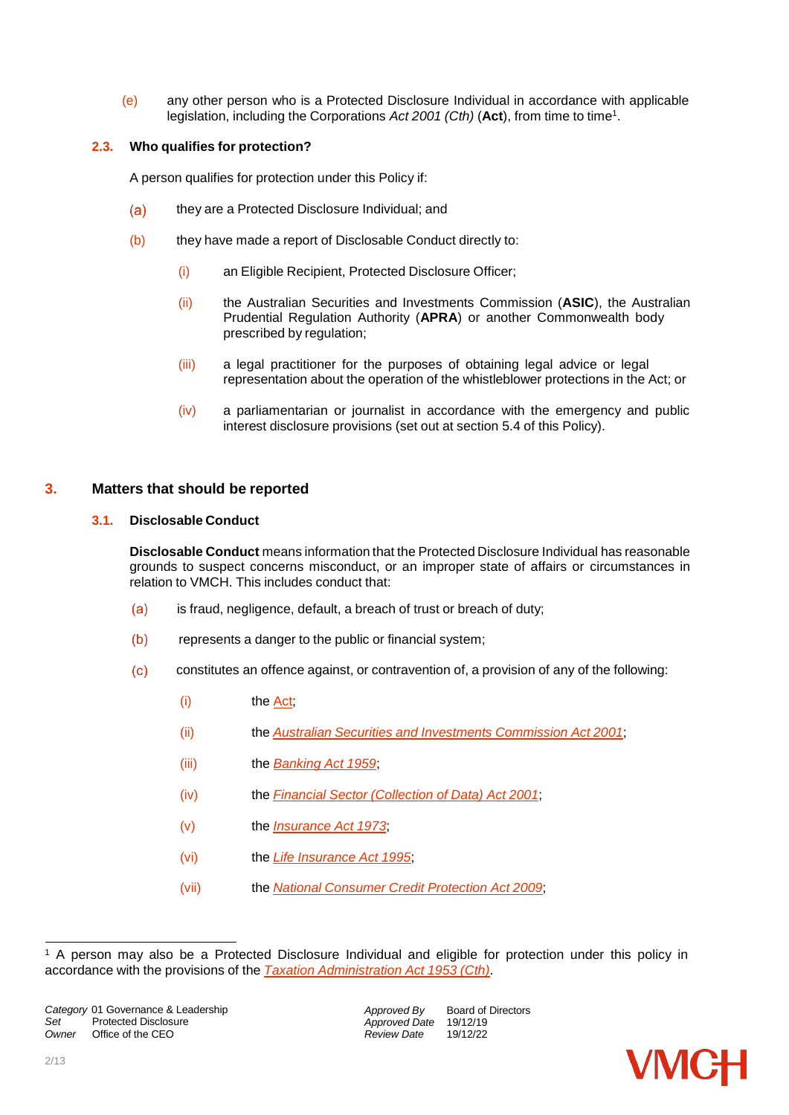(e) any other person who is a Protected Disclosure Individual in accordance with applicable legislation, including the Corporations *Act 2001 (Cth)* (**Act**), from time to time<sup>1</sup> .

# **2.3. Who qualifies for protection?**

A person qualifies for protection under this Policy if:

- $(a)$ they are a Protected Disclosure Individual; and
- (b) they have made a report of Disclosable Conduct directly to:
	- (i) an Eligible Recipient, Protected Disclosure Officer;
	- (ii) the Australian Securities and Investments Commission (**ASIC**), the Australian Prudential Regulation Authority (**APRA**) or another Commonwealth body prescribed by regulation;
	- (iii) a legal practitioner for the purposes of obtaining legal advice or legal representation about the operation of the whistleblower protections in the Act; or
	- (iv) a parliamentarian or journalist in accordance with the emergency and public interest disclosure provisions (set out at section [5.4](#page-4-0) of this Policy).

# <span id="page-1-1"></span>**3. Matters that should be reported**

# **3.1. Disclosable Conduct**

**Disclosable Conduct** means information that the Protected Disclosure Individual has reasonable grounds to suspect concerns misconduct, or an improper state of affairs or circumstances in relation to VMCH. This includes conduct that:

- (a) is fraud, negligence, default, a breach of trust or breach of duty;
- represents a danger to the public or financial system;
- <span id="page-1-0"></span> constitutes an offence against, or contravention of, a provision of any of the following:
	- (i) the [Act;](https://www.legislation.gov.au/Details/C2019C00216)
	- (ii) the *Australian Securities and Investments [Commission](https://www.legislation.gov.au/Details/C2019C00207) Act 2001*;
	- (iii) the *[Banking](https://www.legislation.gov.au/Details/C2019C00218) Act 1959*;
	- (iv) the *Financial Sector [\(Collection](https://www.legislation.gov.au/Details/C2019C00171) of Data) Act 2001*;
	- (v) the *[Insurance](https://www.legislation.gov.au/Details/C2019C00220) Act 1973*;
	- (vi) the *Life [Insurance](https://www.legislation.gov.au/Details/C2019C00217) Act 1995*;
	- (vii) the *National [Consumer](https://www.legislation.gov.au/Details/C2019C00154) Credit Protection Act 2009*;



<sup>&</sup>lt;sup>1</sup> A person may also be a Protected Disclosure Individual and eligible for protection under this policy in accordance with the provisions of the *Taxation [Administration](https://www.legislation.gov.au/Details/C2019C00323) Act 1953 (Cth)*.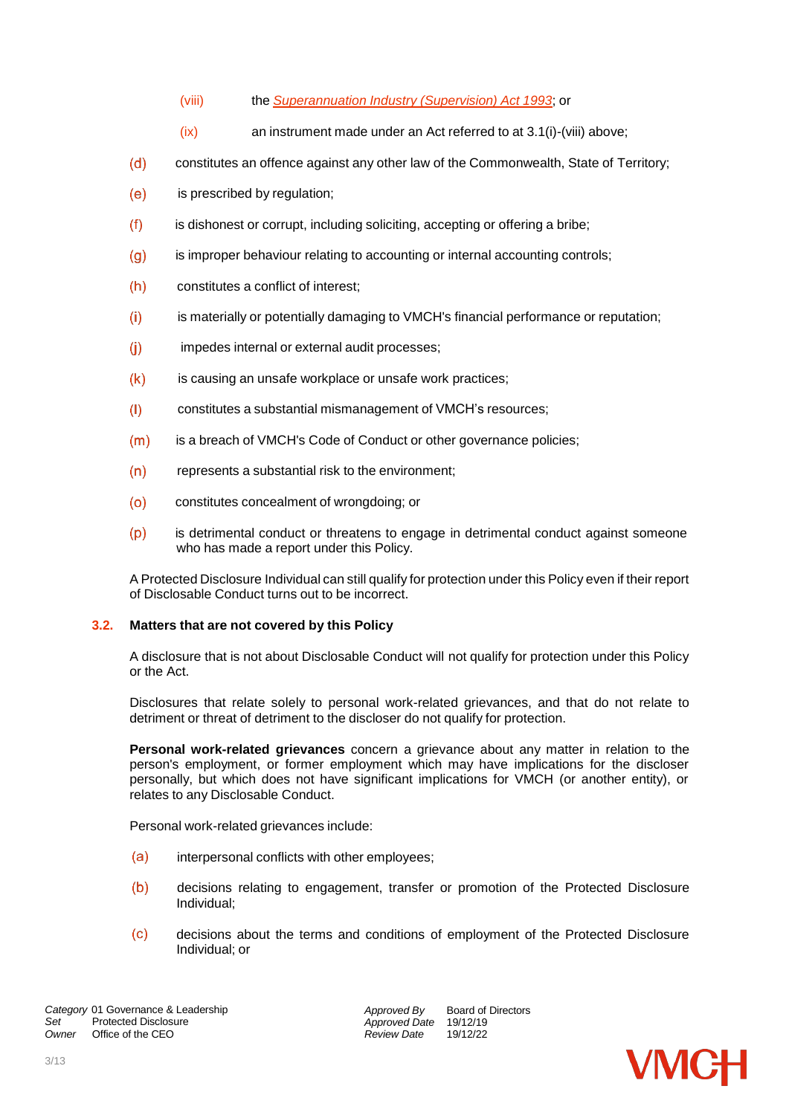- (viii) the *[Superannuation](https://www.legislation.gov.au/Details/C2019C00307) Industry (Supervision) Act 1993*; or
- (ix) an instrument made under an Act referred to at [3.1\(i\)-](#page-1-0)(viii) above;
- constitutes an offence against any other law of the Commonwealth, State of Territory;
- is prescribed by regulation;
- is dishonest or corrupt, including soliciting, accepting or offering a bribe;
- $(q)$  is improper behaviour relating to accounting or internal accounting controls;
- constitutes a conflict of interest;
- is materially or potentially damaging to VMCH's financial performance or reputation;
- (j) impedes internal or external audit processes;
- $(k)$  is causing an unsafe workplace or unsafe work practices;
- constitutes a substantial mismanagement of VMCH's resources;
- (m) is a breach of VMCH's Code of Conduct or other governance policies;
- (n) represents a substantial risk to the environment;
- constitutes concealment of wrongdoing; or
- is detrimental conduct or threatens to engage in detrimental conduct against someone who has made a report under this Policy.

A Protected Disclosure Individual can still qualify for protection under this Policy even if their report of Disclosable Conduct turns out to be incorrect.

# **3.2. Matters that are not covered by this Policy**

A disclosure that is not about Disclosable Conduct will not qualify for protection under this Policy or the Act.

Disclosures that relate solely to personal work-related grievances, and that do not relate to detriment or threat of detriment to the discloser do not qualify for protection.

**Personal work-related grievances** concern a grievance about any matter in relation to the person's employment, or former employment which may have implications for the discloser personally, but which does not have significant implications for VMCH (or another entity), or relates to any Disclosable Conduct.

Personal work-related grievances include:

- (a) interpersonal conflicts with other employees;
- decisions relating to engagement, transfer or promotion of the Protected Disclosure Individual;
- decisions about the terms and conditions of employment of the Protected Disclosure Individual; or

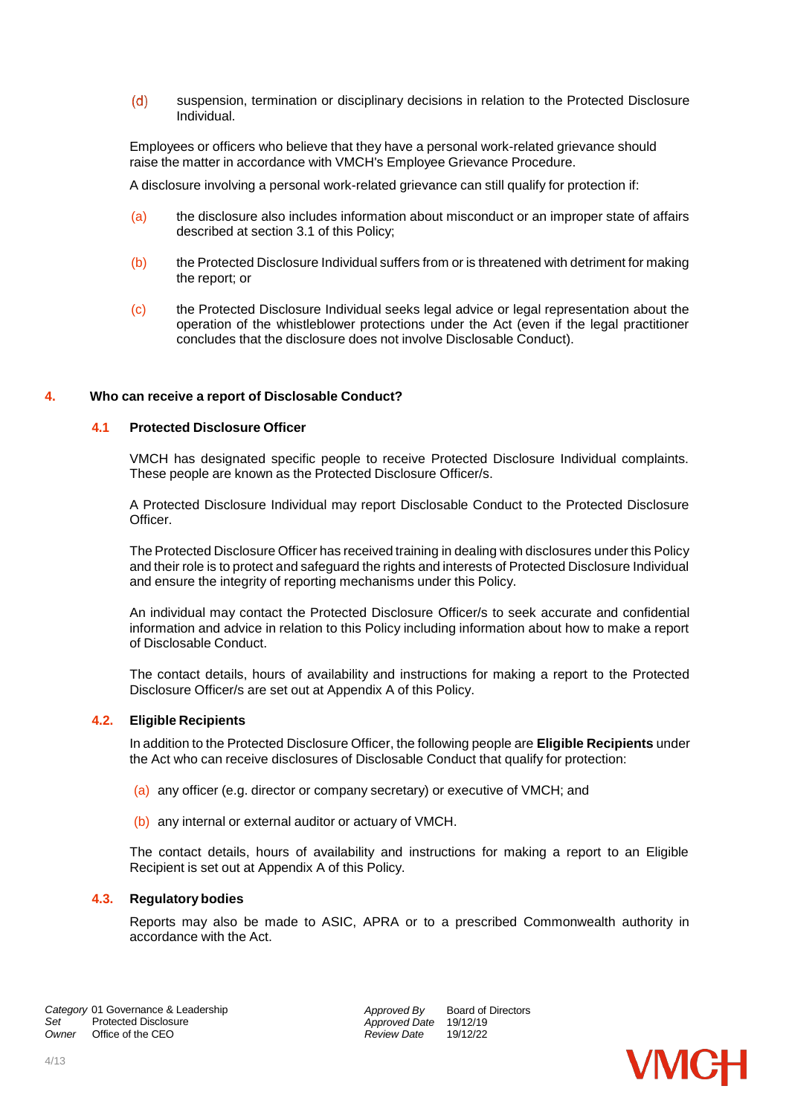suspension, termination or disciplinary decisions in relation to the Protected Disclosure Individual.

Employees or officers who believe that they have a personal work-related grievance should raise the matter in accordance with VMCH's Employee Grievance Procedure.

A disclosure involving a personal work-related grievance can still qualify for protection if:

- (a) the disclosure also includes information about misconduct or an improper state of affairs described at section [3.1](#page-1-1) of this Policy;
- (b) the Protected Disclosure Individual suffers from or is threatened with detriment for making the report; or
- (c) the Protected Disclosure Individual seeks legal advice or legal representation about the operation of the whistleblower protections under the Act (even if the legal practitioner concludes that the disclosure does not involve Disclosable Conduct).

# **4. Who can receive a report of Disclosable Conduct?**

#### **4.1 Protected Disclosure Officer**

VMCH has designated specific people to receive Protected Disclosure Individual complaints. These people are known as the Protected Disclosure Officer/s.

A Protected Disclosure Individual may report Disclosable Conduct to the Protected Disclosure Officer.

The Protected Disclosure Officer has received training in dealing with disclosures under this Policy and their role is to protect and safeguard the rights and interests of Protected Disclosure Individual and ensure the integrity of reporting mechanisms under this Policy.

An individual may contact the Protected Disclosure Officer/s to seek accurate and confidential information and advice in relation to this Policy including information about how to make a report of Disclosable Conduct.

The contact details, hours of availability and instructions for making a report to the Protected Disclosure Officer/s are set out at Appendix A of this Policy.

#### **4.2. Eligible Recipients**

In addition to the Protected Disclosure Officer, the following people are **Eligible Recipients** under the Act who can receive disclosures of Disclosable Conduct that qualify for protection:

- (a) any officer (e.g. director or company secretary) or executive of VMCH; and
- (b) any internal or external auditor or actuary of VMCH.

The contact details, hours of availability and instructions for making a report to an Eligible Recipient is set out at Appendix A of this Policy.

# **4.3. Regulatory bodies**

Reports may also be made to ASIC, APRA or to a prescribed Commonwealth authority in accordance with the Act.

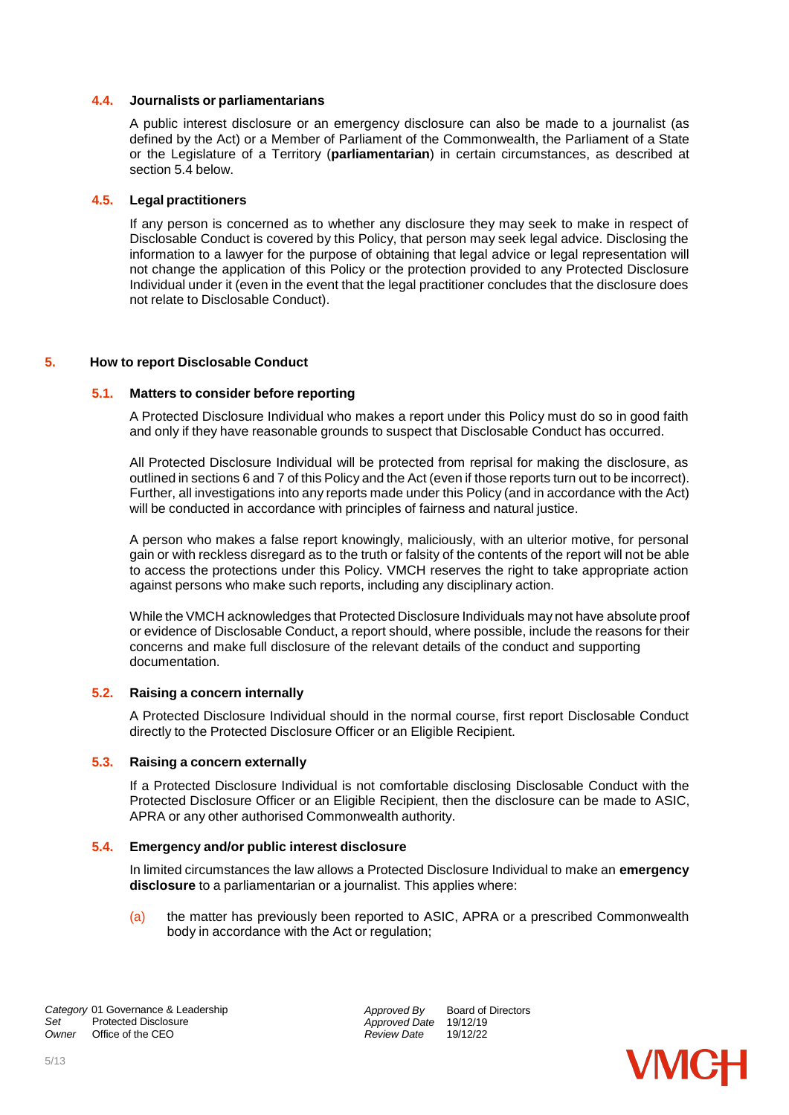#### **4.4. Journalists or parliamentarians**

A public interest disclosure or an emergency disclosure can also be made to a journalist (as defined by the Act) or a Member of Parliament of the Commonwealth, the Parliament of a State or the Legislature of a Territory (**parliamentarian**) in certain circumstances, as described at section [5.4](#page-4-0) below.

#### **4.5. Legal practitioners**

If any person is concerned as to whether any disclosure they may seek to make in respect of Disclosable Conduct is covered by this Policy, that person may seek legal advice. Disclosing the information to a lawyer for the purpose of obtaining that legal advice or legal representation will not change the application of this Policy or the protection provided to any Protected Disclosure Individual under it (even in the event that the legal practitioner concludes that the disclosure does not relate to Disclosable Conduct).

#### **5. How to report Disclosable Conduct**

#### **5.1. Matters to consider before reporting**

A Protected Disclosure Individual who makes a report under this Policy must do so in good faith and only if they have reasonable grounds to suspect that Disclosable Conduct has occurred.

All Protected Disclosure Individual will be protected from reprisal for making the disclosure, as outlined in sections [6](#page-6-0) and [7](#page-7-0) of this Policy and the Act (even if those reports turn out to be incorrect). Further, all investigations into any reports made under this Policy (and in accordance with the Act) will be conducted in accordance with principles of fairness and natural justice.

A person who makes a false report knowingly, maliciously, with an ulterior motive, for personal gain or with reckless disregard as to the truth or falsity of the contents of the report will not be able to access the protections under this Policy. VMCH reserves the right to take appropriate action against persons who make such reports, including any disciplinary action.

While the VMCH acknowledges that Protected Disclosure Individuals may not have absolute proof or evidence of Disclosable Conduct, a report should, where possible, include the reasons for their concerns and make full disclosure of the relevant details of the conduct and supporting documentation.

#### **5.2. Raising a concern internally**

A Protected Disclosure Individual should in the normal course, first report Disclosable Conduct directly to the Protected Disclosure Officer or an Eligible Recipient.

#### **5.3. Raising a concern externally**

If a Protected Disclosure Individual is not comfortable disclosing Disclosable Conduct with the Protected Disclosure Officer or an Eligible Recipient, then the disclosure can be made to ASIC, APRA or any other authorised Commonwealth authority.

#### <span id="page-4-0"></span>**5.4. Emergency and/or public interest disclosure**

In limited circumstances the law allows a Protected Disclosure Individual to make an **emergency disclosure** to a parliamentarian or a journalist. This applies where:

(a) the matter has previously been reported to ASIC, APRA or a prescribed Commonwealth body in accordance with the Act or regulation;

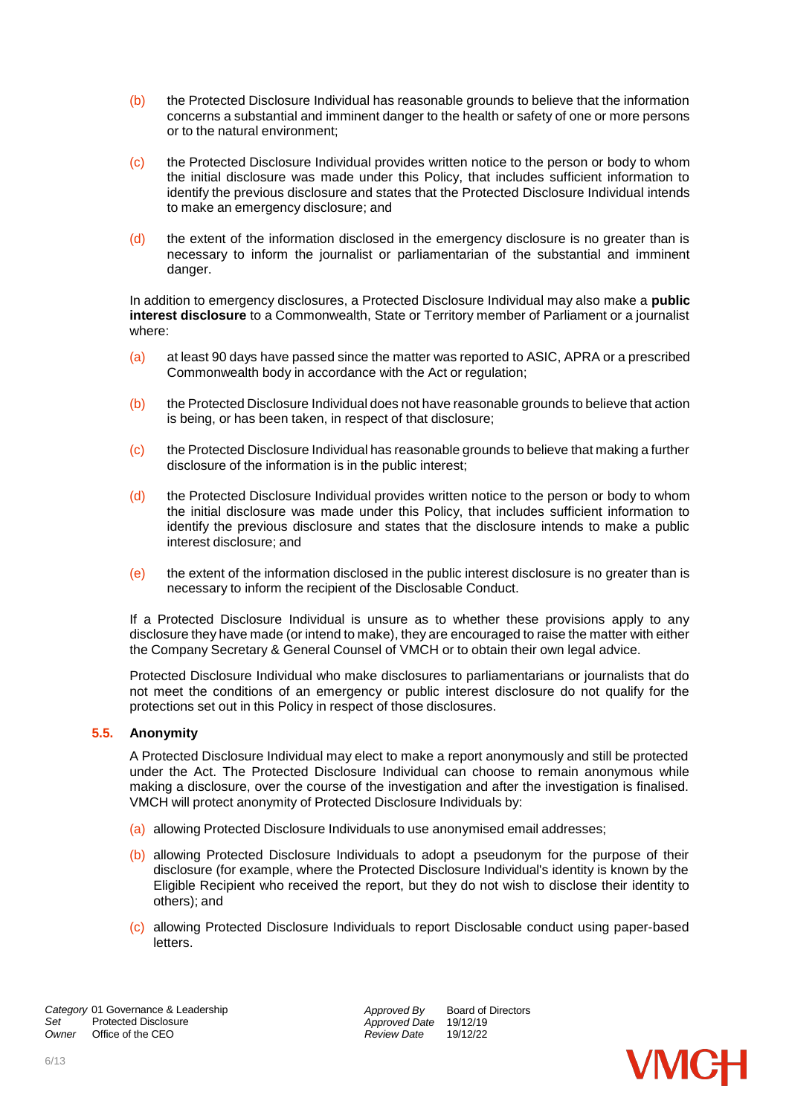- (b) the Protected Disclosure Individual has reasonable grounds to believe that the information concerns a substantial and imminent danger to the health or safety of one or more persons or to the natural environment;
- (c) the Protected Disclosure Individual provides written notice to the person or body to whom the initial disclosure was made under this Policy, that includes sufficient information to identify the previous disclosure and states that the Protected Disclosure Individual intends to make an emergency disclosure; and
- $(d)$  the extent of the information disclosed in the emergency disclosure is no greater than is necessary to inform the journalist or parliamentarian of the substantial and imminent danger.

In addition to emergency disclosures, a Protected Disclosure Individual may also make a **public interest disclosure** to a Commonwealth, State or Territory member of Parliament or a journalist where:

- (a) at least 90 days have passed since the matter was reported to ASIC, APRA or a prescribed Commonwealth body in accordance with the Act or regulation;
- (b) the Protected Disclosure Individual does not have reasonable grounds to believe that action is being, or has been taken, in respect of that disclosure;
- (c) the Protected Disclosure Individual has reasonable grounds to believe that making a further disclosure of the information is in the public interest;
- $(d)$  the Protected Disclosure Individual provides written notice to the person or body to whom the initial disclosure was made under this Policy, that includes sufficient information to identify the previous disclosure and states that the disclosure intends to make a public interest disclosure; and
- $(e)$  the extent of the information disclosed in the public interest disclosure is no greater than is necessary to inform the recipient of the Disclosable Conduct.

If a Protected Disclosure Individual is unsure as to whether these provisions apply to any disclosure they have made (or intend to make), they are encouraged to raise the matter with either the Company Secretary & General Counsel of VMCH or to obtain their own legal advice.

Protected Disclosure Individual who make disclosures to parliamentarians or journalists that do not meet the conditions of an emergency or public interest disclosure do not qualify for the protections set out in this Policy in respect of those disclosures.

# **5.5. Anonymity**

A Protected Disclosure Individual may elect to make a report anonymously and still be protected under the Act. The Protected Disclosure Individual can choose to remain anonymous while making a disclosure, over the course of the investigation and after the investigation is finalised. VMCH will protect anonymity of Protected Disclosure Individuals by:

- (a) allowing Protected Disclosure Individuals to use anonymised email addresses;
- (b) allowing Protected Disclosure Individuals to adopt a pseudonym for the purpose of their disclosure (for example, where the Protected Disclosure Individual's identity is known by the Eligible Recipient who received the report, but they do not wish to disclose their identity to others); and
- (c) allowing Protected Disclosure Individuals to report Disclosable conduct using paper-based letters.

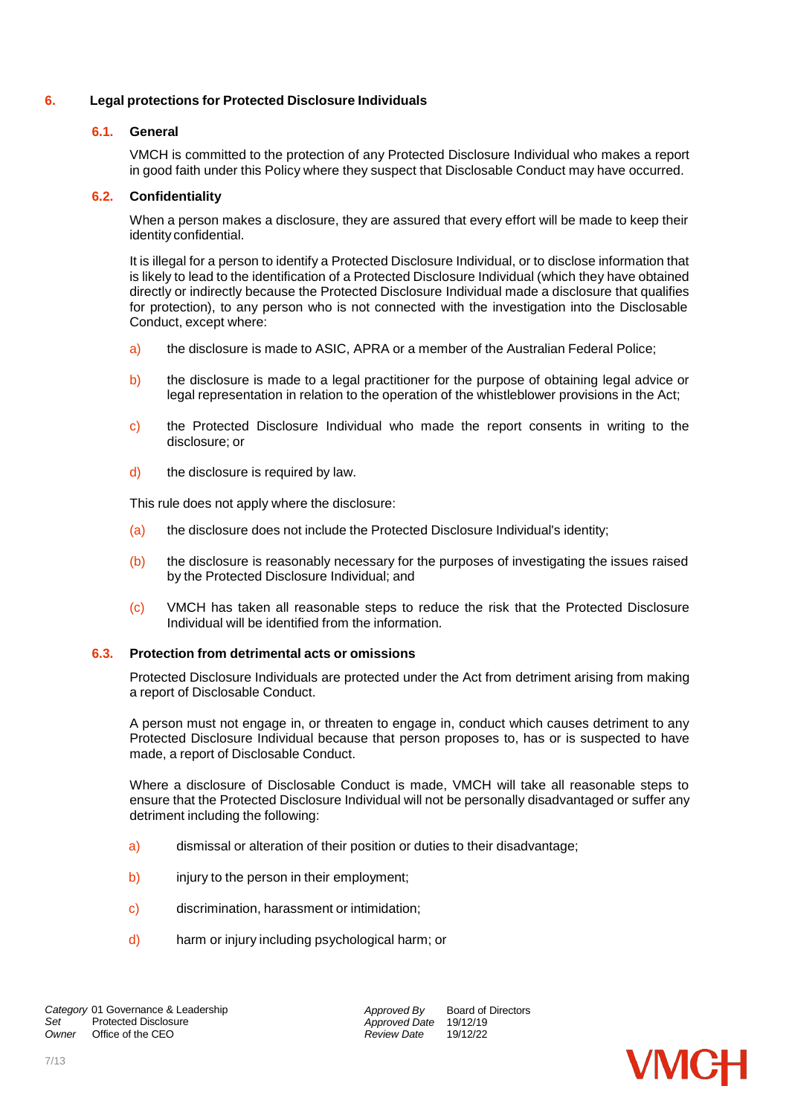# <span id="page-6-0"></span>**6. Legal protections for Protected Disclosure Individuals**

# **6.1. General**

VMCH is committed to the protection of any Protected Disclosure Individual who makes a report in good faith under this Policy where they suspect that Disclosable Conduct may have occurred.

# **6.2. Confidentiality**

When a person makes a disclosure, they are assured that every effort will be made to keep their identity confidential.

It is illegal for a person to identify a Protected Disclosure Individual, or to disclose information that is likely to lead to the identification of a Protected Disclosure Individual (which they have obtained directly or indirectly because the Protected Disclosure Individual made a disclosure that qualifies for protection), to any person who is not connected with the investigation into the Disclosable Conduct, except where:

- a) the disclosure is made to ASIC, APRA or a member of the Australian Federal Police;
- b) the disclosure is made to a legal practitioner for the purpose of obtaining legal advice or legal representation in relation to the operation of the whistleblower provisions in the Act;
- c) the Protected Disclosure Individual who made the report consents in writing to the disclosure; or
- d) the disclosure is required by law.

This rule does not apply where the disclosure:

- (a) the disclosure does not include the Protected Disclosure Individual's identity;
- (b) the disclosure is reasonably necessary for the purposes of investigating the issues raised by the Protected Disclosure Individual; and
- (c) VMCH has taken all reasonable steps to reduce the risk that the Protected Disclosure Individual will be identified from the information.

# **6.3. Protection from detrimental acts or omissions**

Protected Disclosure Individuals are protected under the Act from detriment arising from making a report of Disclosable Conduct.

A person must not engage in, or threaten to engage in, conduct which causes detriment to any Protected Disclosure Individual because that person proposes to, has or is suspected to have made, a report of Disclosable Conduct.

Where a disclosure of Disclosable Conduct is made, VMCH will take all reasonable steps to ensure that the Protected Disclosure Individual will not be personally disadvantaged or suffer any detriment including the following:

- a) dismissal or alteration of their position or duties to their disadvantage;
- b) injury to the person in their employment;
- c) discrimination, harassment or intimidation;
- d) harm or injury including psychological harm; or

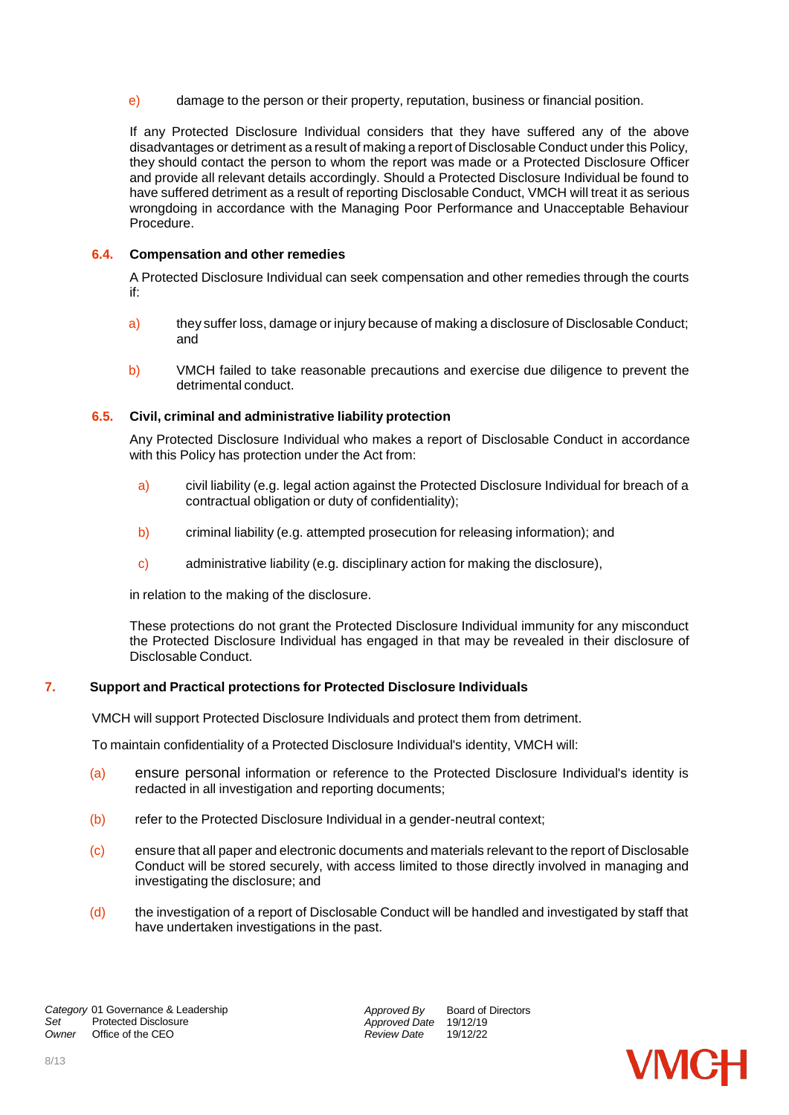e) damage to the person or their property, reputation, business or financial position.

If any Protected Disclosure Individual considers that they have suffered any of the above disadvantages or detriment as a result of making a report of Disclosable Conduct under this Policy, they should contact the person to whom the report was made or a Protected Disclosure Officer and provide all relevant details accordingly. Should a Protected Disclosure Individual be found to have suffered detriment as a result of reporting Disclosable Conduct, VMCH will treat it as serious wrongdoing in accordance with the Managing Poor Performance and Unacceptable Behaviour Procedure.

# **6.4. Compensation and other remedies**

A Protected Disclosure Individual can seek compensation and other remedies through the courts if:

- a) they suffer loss, damage or injury because of making a disclosure of Disclosable Conduct; and
- b) VMCH failed to take reasonable precautions and exercise due diligence to prevent the detrimental conduct.

#### **6.5. Civil, criminal and administrative liability protection**

Any Protected Disclosure Individual who makes a report of Disclosable Conduct in accordance with this Policy has protection under the Act from:

- a) civil liability (e.g. legal action against the Protected Disclosure Individual for breach of a contractual obligation or duty of confidentiality);
- b) criminal liability (e.g. attempted prosecution for releasing information); and
- c) administrative liability (e.g. disciplinary action for making the disclosure),

in relation to the making of the disclosure.

These protections do not grant the Protected Disclosure Individual immunity for any misconduct the Protected Disclosure Individual has engaged in that may be revealed in their disclosure of Disclosable Conduct.

# <span id="page-7-0"></span>**7. Support and Practical protections for Protected Disclosure Individuals**

VMCH will support Protected Disclosure Individuals and protect them from detriment.

To maintain confidentiality of a Protected Disclosure Individual's identity, VMCH will:

- (a) ensure personal information or reference to the Protected Disclosure Individual's identity is redacted in all investigation and reporting documents;
- (b) refer to the Protected Disclosure Individual in a gender-neutral context;
- (c) ensure that all paper and electronic documents and materials relevant to the report of Disclosable Conduct will be stored securely, with access limited to those directly involved in managing and investigating the disclosure; and
- (d) the investigation of a report of Disclosable Conduct will be handled and investigated by staff that have undertaken investigations in the past.

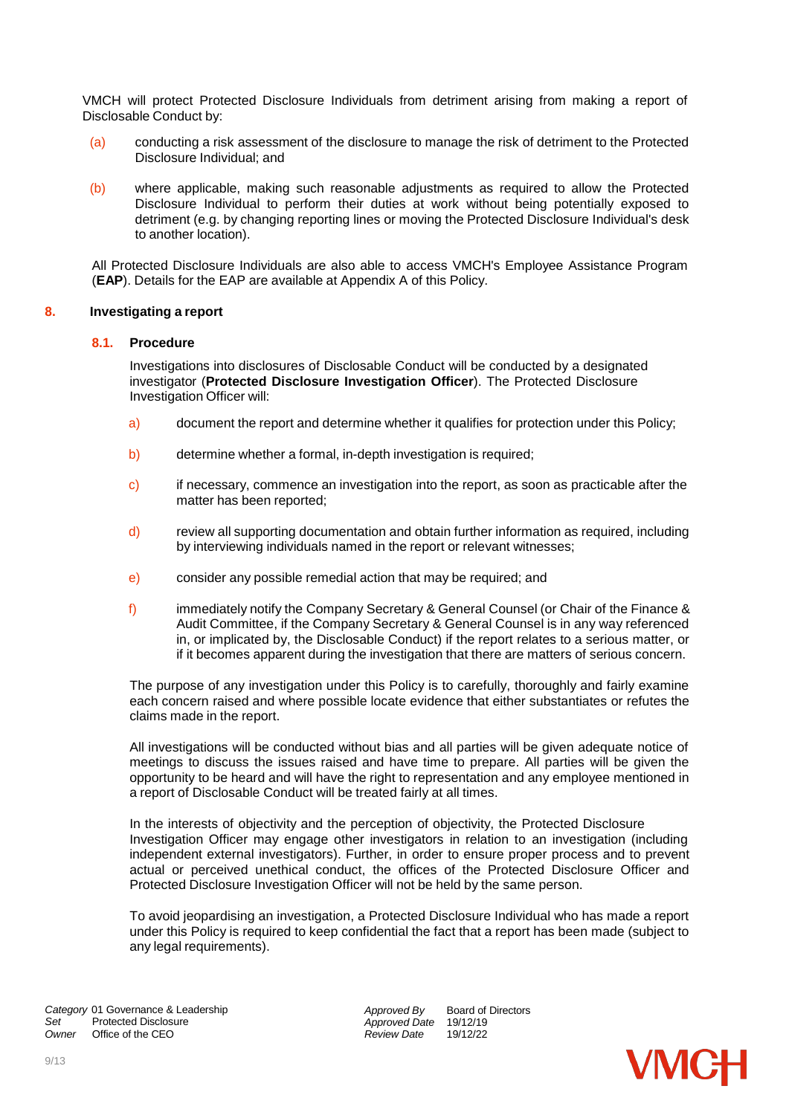VMCH will protect Protected Disclosure Individuals from detriment arising from making a report of Disclosable Conduct by:

- (a) conducting a risk assessment of the disclosure to manage the risk of detriment to the Protected Disclosure Individual; and
- (b) where applicable, making such reasonable adjustments as required to allow the Protected Disclosure Individual to perform their duties at work without being potentially exposed to detriment (e.g. by changing reporting lines or moving the Protected Disclosure Individual's desk to another location).

All Protected Disclosure Individuals are also able to access VMCH's Employee Assistance Program (**EAP**). Details for the EAP are available at Appendix A of this Policy.

#### **8. Investigating a report**

#### **8.1. Procedure**

Investigations into disclosures of Disclosable Conduct will be conducted by a designated investigator (**Protected Disclosure Investigation Officer**). The Protected Disclosure Investigation Officer will:

- a) document the report and determine whether it qualifies for protection under this Policy;
- b) determine whether a formal, in-depth investigation is required;
- c) if necessary, commence an investigation into the report, as soon as practicable after the matter has been reported;
- d) review all supporting documentation and obtain further information as required, including by interviewing individuals named in the report or relevant witnesses;
- e) consider any possible remedial action that may be required; and
- f) immediately notify the Company Secretary & General Counsel (or Chair of the Finance & Audit Committee, if the Company Secretary & General Counsel is in any way referenced in, or implicated by, the Disclosable Conduct) if the report relates to a serious matter, or if it becomes apparent during the investigation that there are matters of serious concern.

The purpose of any investigation under this Policy is to carefully, thoroughly and fairly examine each concern raised and where possible locate evidence that either substantiates or refutes the claims made in the report.

All investigations will be conducted without bias and all parties will be given adequate notice of meetings to discuss the issues raised and have time to prepare. All parties will be given the opportunity to be heard and will have the right to representation and any employee mentioned in a report of Disclosable Conduct will be treated fairly at all times.

In the interests of objectivity and the perception of objectivity, the Protected Disclosure Investigation Officer may engage other investigators in relation to an investigation (including independent external investigators). Further, in order to ensure proper process and to prevent actual or perceived unethical conduct, the offices of the Protected Disclosure Officer and Protected Disclosure Investigation Officer will not be held by the same person.

To avoid jeopardising an investigation, a Protected Disclosure Individual who has made a report under this Policy is required to keep confidential the fact that a report has been made (subject to any legal requirements).

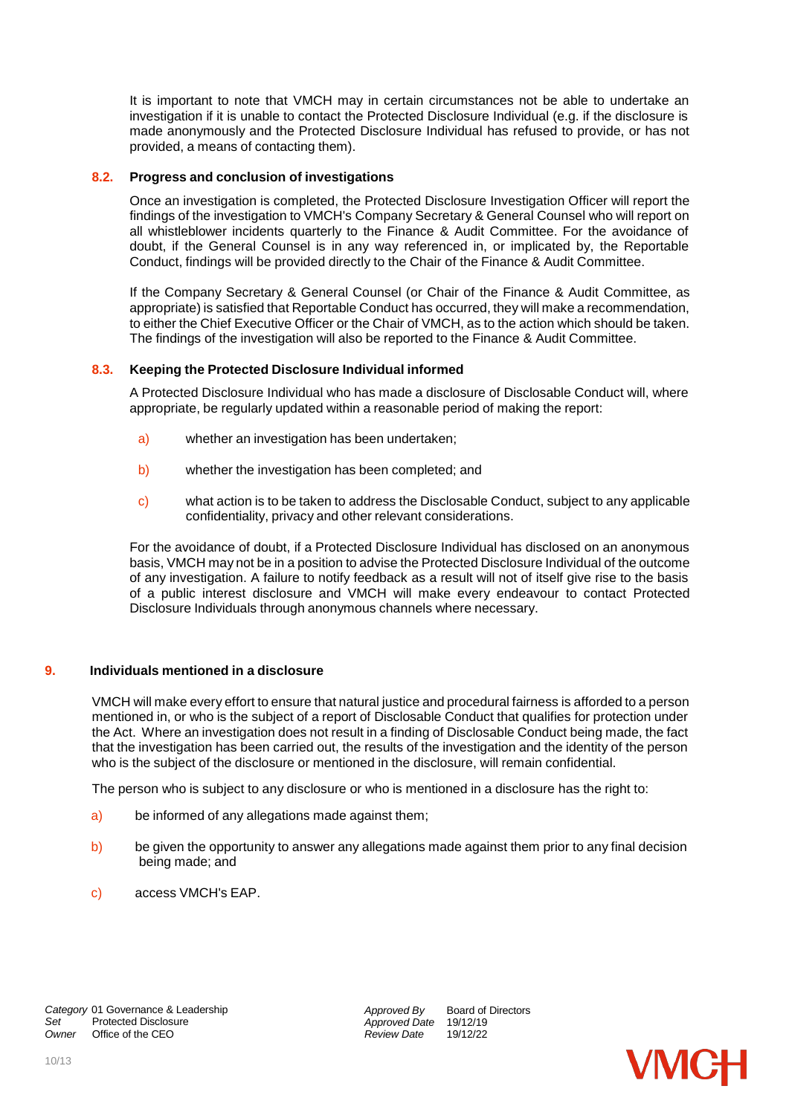It is important to note that VMCH may in certain circumstances not be able to undertake an investigation if it is unable to contact the Protected Disclosure Individual (e.g. if the disclosure is made anonymously and the Protected Disclosure Individual has refused to provide, or has not provided, a means of contacting them).

#### **8.2. Progress and conclusion of investigations**

Once an investigation is completed, the Protected Disclosure Investigation Officer will report the findings of the investigation to VMCH's Company Secretary & General Counsel who will report on all whistleblower incidents quarterly to the Finance & Audit Committee. For the avoidance of doubt, if the General Counsel is in any way referenced in, or implicated by, the Reportable Conduct, findings will be provided directly to the Chair of the Finance & Audit Committee.

If the Company Secretary & General Counsel (or Chair of the Finance & Audit Committee, as appropriate) is satisfied that Reportable Conduct has occurred, they will make a recommendation, to either the Chief Executive Officer or the Chair of VMCH, as to the action which should be taken. The findings of the investigation will also be reported to the Finance & Audit Committee.

# **8.3. Keeping the Protected Disclosure Individual informed**

A Protected Disclosure Individual who has made a disclosure of Disclosable Conduct will, where appropriate, be regularly updated within a reasonable period of making the report:

- a) whether an investigation has been undertaken;
- b) whether the investigation has been completed; and
- c) what action is to be taken to address the Disclosable Conduct, subject to any applicable confidentiality, privacy and other relevant considerations.

For the avoidance of doubt, if a Protected Disclosure Individual has disclosed on an anonymous basis, VMCH may not be in a position to advise the Protected Disclosure Individual of the outcome of any investigation. A failure to notify feedback as a result will not of itself give rise to the basis of a public interest disclosure and VMCH will make every endeavour to contact Protected Disclosure Individuals through anonymous channels where necessary.

# **9. Individuals mentioned in a disclosure**

VMCH will make every effort to ensure that natural justice and procedural fairness is afforded to a person mentioned in, or who is the subject of a report of Disclosable Conduct that qualifies for protection under the Act. Where an investigation does not result in a finding of Disclosable Conduct being made, the fact that the investigation has been carried out, the results of the investigation and the identity of the person who is the subject of the disclosure or mentioned in the disclosure, will remain confidential.

The person who is subject to any disclosure or who is mentioned in a disclosure has the right to:

- a) be informed of any allegations made against them;
- b) be given the opportunity to answer any allegations made against them prior to any final decision being made; and
- c) access VMCH's EAP.

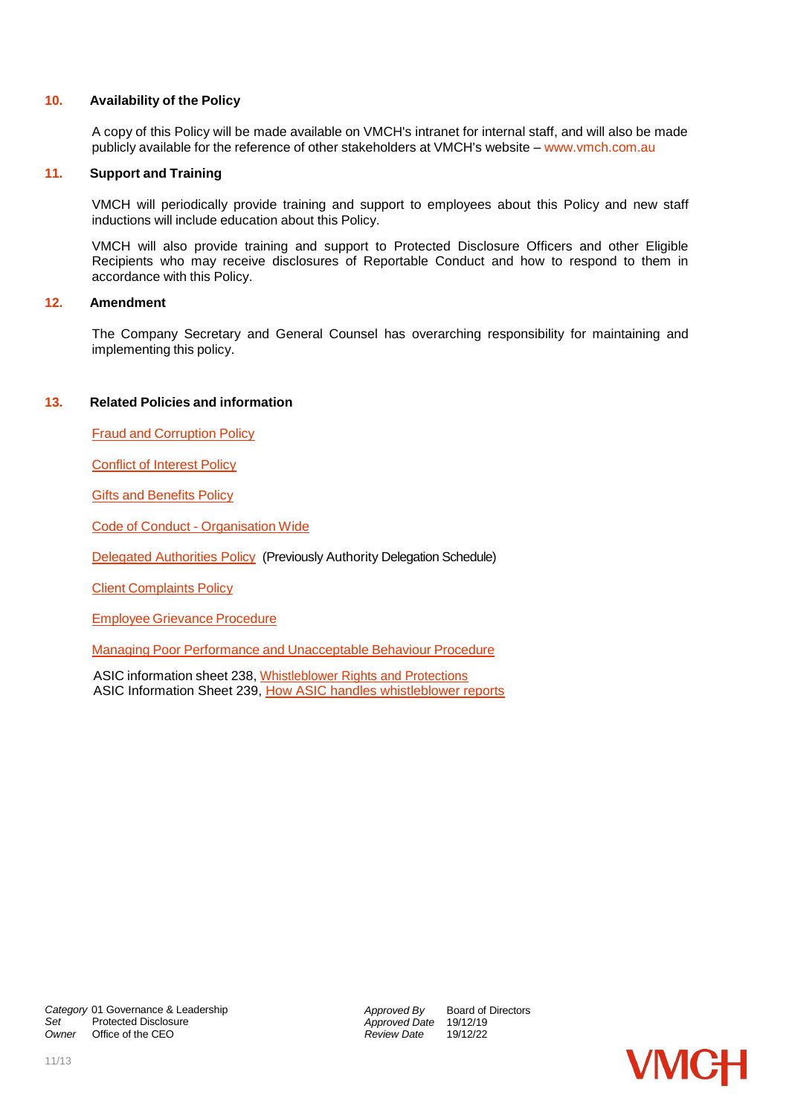#### **10. Availability of the Policy**

A copy of this Policy will be made available on VMCH's intranet for internal staff, and will also be made publicly available for the reference of other stakeholders at VMCH's website – [www.vmch.com.au](http://www.vmch.com.au/)

#### **11. Support and Training**

VMCH will periodically provide training and support to employees about this Policy and new staff inductions will include education about this Policy.

VMCH will also provide training and support to Protected Disclosure Officers and other Eligible Recipients who may receive disclosures of Reportable Conduct and how to respond to them in accordance with this Policy.

# **12. Amendment**

The Company Secretary and General Counsel has overarching responsibility for maintaining and implementing this policy.

#### **13. Related Policies and information**

Fraud and Corruption Policy

Conflict of Interest Policy

**Gifts and Benefits Policy** 

Code of Conduct - Organisation Wide

[Delegated Authorities Policy](https://vmch.sharepoint.com/sites/theHub/PMS/Policies/Forms/AllItems.aspx?id=%2Fsites%2FtheHub%2FPMS%2FPolicies%2FDelegated%20Authorities%20Policy%2Epdf&parent=%2Fsites%2FtheHub%2FPMS%2FPolicies) (Previously Authority Delegation Schedule)

Client Complaints Policy

Employee Grievance Procedure

Managing Poor Performance and Unacceptable Behaviour Procedure

ASIC information sheet 238, [Whistleblower Rights and Protections](https://asic.gov.au/about-asic/asic-investigations-and-enforcement/whistleblowing/whistleblower-rights-and-protections/) ASIC Information Sheet 239, [How ASIC handles whistleblower reports](https://asic.gov.au/about-asic/asic-investigations-and-enforcement/whistleblowing/how-asic-handles-whistleblower-reports/)

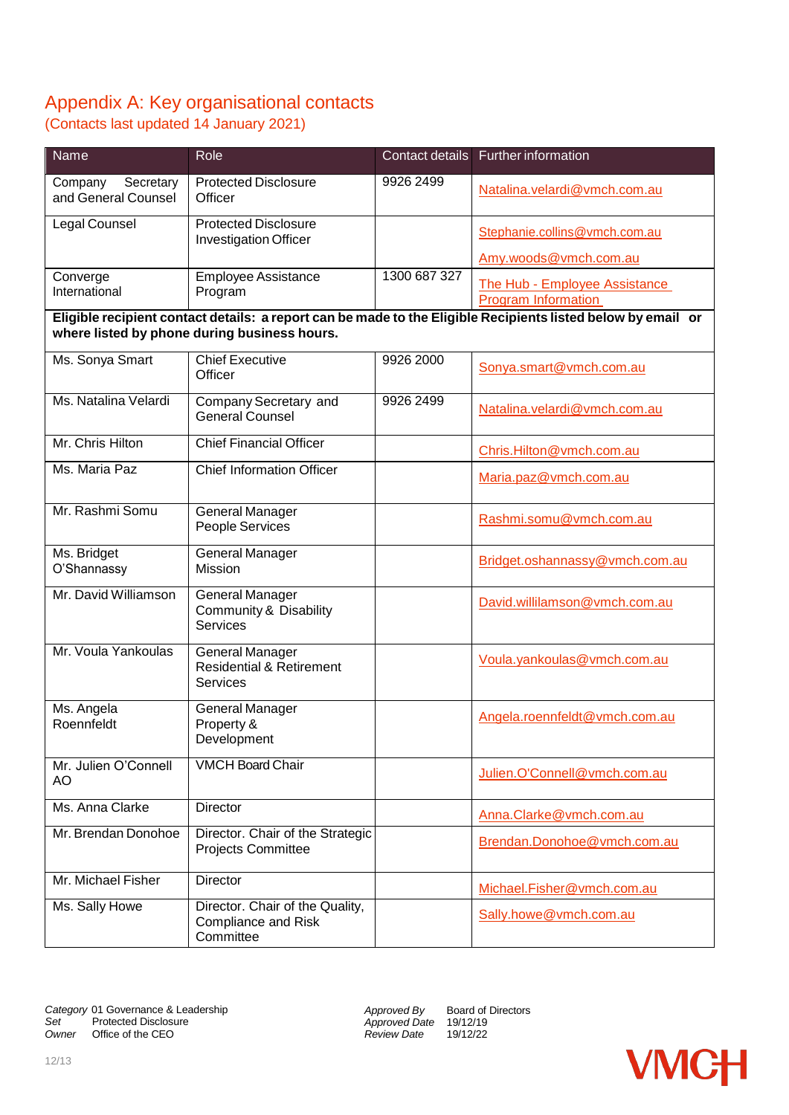# Appendix A: Key organisational contacts

(Contacts last updated 14 January 2021)

| Name                                                                                                                                                         | Role                                                                      |              | Contact details Further information                                                  |  |
|--------------------------------------------------------------------------------------------------------------------------------------------------------------|---------------------------------------------------------------------------|--------------|--------------------------------------------------------------------------------------|--|
| Company<br>Secretary<br>and General Counsel                                                                                                                  | <b>Protected Disclosure</b><br>Officer                                    | 9926 2499    | Natalina.velardi@vmch.com.au                                                         |  |
| Legal Counsel                                                                                                                                                | <b>Protected Disclosure</b><br><b>Investigation Officer</b>               |              | Stephanie.collins@vmch.com.au                                                        |  |
| Converge<br>International                                                                                                                                    | <b>Employee Assistance</b><br>Program                                     | 1300 687 327 | Amy.woods@vmch.com.au<br>The Hub - Employee Assistance<br><b>Program Information</b> |  |
| Eligible recipient contact details: a report can be made to the Eligible Recipients listed below by email or<br>where listed by phone during business hours. |                                                                           |              |                                                                                      |  |
| Ms. Sonya Smart                                                                                                                                              | <b>Chief Executive</b><br>Officer                                         | 9926 2000    | Sonya.smart@vmch.com.au                                                              |  |
| Ms. Natalina Velardi                                                                                                                                         | Company Secretary and<br><b>General Counsel</b>                           | 9926 2499    | Natalina.velardi@vmch.com.au                                                         |  |
| Mr. Chris Hilton                                                                                                                                             | <b>Chief Financial Officer</b>                                            |              | Chris.Hilton@vmch.com.au                                                             |  |
| Ms. Maria Paz                                                                                                                                                | <b>Chief Information Officer</b>                                          |              | Maria.paz@vmch.com.au                                                                |  |
| Mr. Rashmi Somu                                                                                                                                              | <b>General Manager</b><br>People Services                                 |              | Rashmi.somu@vmch.com.au                                                              |  |
| Ms. Bridget<br>O'Shannassy                                                                                                                                   | General Manager<br><b>Mission</b>                                         |              | Bridget.oshannassy@vmch.com.au                                                       |  |
| Mr. David Williamson                                                                                                                                         | General Manager<br>Community & Disability<br><b>Services</b>              |              | David.willilamson@vmch.com.au                                                        |  |
| Mr. Voula Yankoulas                                                                                                                                          | General Manager<br><b>Residential &amp; Retirement</b><br><b>Services</b> |              | Voula.yankoulas@vmch.com.au                                                          |  |
| Ms. Angela<br>Roennfeldt                                                                                                                                     | General Manager<br>Property &<br>Development                              |              | Angela.roennfeldt@vmch.com.au                                                        |  |
| Mr. Julien O'Connell<br>AO                                                                                                                                   | <b>VMCH Board Chair</b>                                                   |              | Julien.O'Connell@vmch.com.au                                                         |  |
| Ms. Anna Clarke                                                                                                                                              | <b>Director</b>                                                           |              | Anna.Clarke@vmch.com.au                                                              |  |
| Mr. Brendan Donohoe                                                                                                                                          | Director. Chair of the Strategic<br><b>Projects Committee</b>             |              | Brendan.Donohoe@vmch.com.au                                                          |  |
| Mr. Michael Fisher                                                                                                                                           | <b>Director</b>                                                           |              | Michael.Fisher@vmch.com.au                                                           |  |
| Ms. Sally Howe                                                                                                                                               | Director. Chair of the Quality,<br>Compliance and Risk<br>Committee       |              | Sally.howe@vmch.com.au                                                               |  |

*Approved By Approved Date* 19/12/19 *Review Date* 19/12/22

Board of Directors